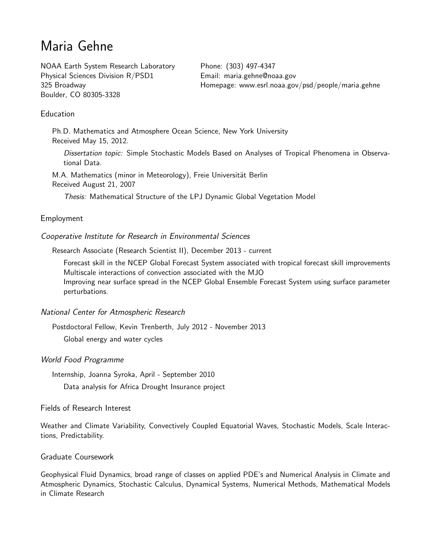# Maria Gehne

NOAA Earth System Research Laboratory Physical Sciences Division R/PSD1 325 Broadway Boulder, CO 80305-3328

Phone: (303) 497-4347 Email: [maria.gehne@noaa.gov](mailto:maria.gehne@noaa.gov) Homepage: [www.esrl.noaa.gov/psd/people/maria.gehne](https://www.esrl.noaa.gov/psd/people/maria.gehne)

# **Education**

Ph.D. Mathematics and Atmosphere Ocean Science, New York University Received May 15, 2012.

Dissertation topic: Simple Stochastic Models Based on Analyses of Tropical Phenomena in Observational Data.

M.A. Mathematics (minor in Meteorology), Freie Universität Berlin Received August 21, 2007

Thesis: Mathematical Structure of the LPJ Dynamic Global Vegetation Model

## Employment

Cooperative Institute for Research in Environmental Sciences

Research Associate (Research Scientist II), December 2013 - current

Forecast skill in the NCEP Global Forecast System associated with tropical forecast skill improvements Multiscale interactions of convection associated with the MJO Improving near surface spread in the NCEP Global Ensemble Forecast System using surface parameter perturbations.

National Center for Atmospheric Research

Postdoctoral Fellow, Kevin Trenberth, July 2012 - November 2013 Global energy and water cycles

## World Food Programme

Internship, Joanna Syroka, April - September 2010 Data analysis for Africa Drought Insurance project

Fields of Research Interest

Weather and Climate Variability, Convectively Coupled Equatorial Waves, Stochastic Models, Scale Interactions, Predictability.

## Graduate Coursework

Geophysical Fluid Dynamics, broad range of classes on applied PDE's and Numerical Analysis in Climate and Atmospheric Dynamics, Stochastic Calculus, Dynamical Systems, Numerical Methods, Mathematical Models in Climate Research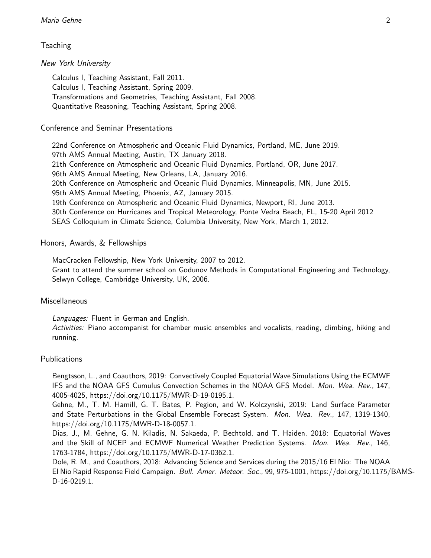# **Teaching**

## New York University

Calculus I, Teaching Assistant, Fall 2011. Calculus I, Teaching Assistant, Spring 2009. Transformations and Geometries, Teaching Assistant, Fall 2008. Quantitative Reasoning, Teaching Assistant, Spring 2008.

# Conference and Seminar Presentations

22nd Conference on Atmospheric and Oceanic Fluid Dynamics, Portland, ME, June 2019. 97th AMS Annual Meeting, Austin, TX January 2018. 21th Conference on Atmospheric and Oceanic Fluid Dynamics, Portland, OR, June 2017. 96th AMS Annual Meeting, New Orleans, LA, January 2016. 20th Conference on Atmospheric and Oceanic Fluid Dynamics, Minneapolis, MN, June 2015. 95th AMS Annual Meeting, Phoenix, AZ, January 2015. 19th Conference on Atmospheric and Oceanic Fluid Dynamics, Newport, RI, June 2013. 30th Conference on Hurricanes and Tropical Meteorology, Ponte Vedra Beach, FL, 15-20 April 2012 SEAS Colloquium in Climate Science, Columbia University, New York, March 1, 2012.

## Honors, Awards, & Fellowships

MacCracken Fellowship, New York University, 2007 to 2012.

Grant to attend the summer school on Godunov Methods in Computational Engineering and Technology, Selwyn College, Cambridge University, UK, 2006.

## **Miscellaneous**

Languages: Fluent in German and English.

Activities: Piano accompanist for chamber music ensembles and vocalists, reading, climbing, hiking and running.

# **Publications**

Bengtsson, L., and Coauthors, 2019: Convectively Coupled Equatorial Wave Simulations Using the ECMWF IFS and the NOAA GFS Cumulus Convection Schemes in the NOAA GFS Model. Mon. Wea. Rev., 147, 4005-4025, https://doi.org/10.1175/MWR-D-19-0195.1.

Gehne, M., T. M. Hamill, G. T. Bates, P. Pegion, and W. Kolczynski, 2019: Land Surface Parameter and State Perturbations in the Global Ensemble Forecast System. Mon. Wea. Rev., 147, 1319-1340, https://doi.org/10.1175/MWR-D-18-0057.1.

Dias, J., M. Gehne, G. N. Kiladis, N. Sakaeda, P. Bechtold, and T. Haiden, 2018: Equatorial Waves and the Skill of NCEP and ECMWF Numerical Weather Prediction Systems. Mon. Wea. Rev., 146, 1763-1784, https://doi.org/10.1175/MWR-D-17-0362.1.

Dole, R. M., and Coauthors, 2018: Advancing Science and Services during the 2015/16 El Nio: The NOAA El Nio Rapid Response Field Campaign. Bull. Amer. Meteor. Soc., 99, 975-1001, https://doi.org/10.1175/BAMS-D-16-0219.1.